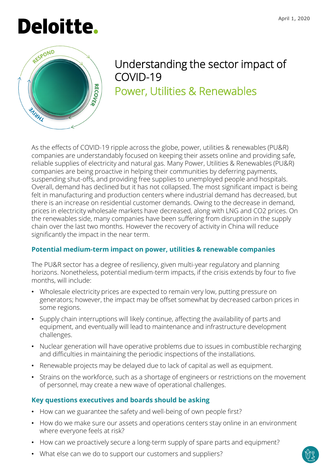



# Understanding the sector impact of COVID-19 Power, Utilities & Renewables

As the effects of COVID-19 ripple across the globe, power, utilities & renewables (PU&R) companies are understandably focused on keeping their assets online and providing safe, reliable supplies of electricity and natural gas. Many Power, Utilities & Renewables (PU&R) companies are being proactive in helping their communities by deferring payments, suspending shut-offs, and providing free supplies to unemployed people and hospitals. Overall, demand has declined but it has not collapsed. The most significant impact is being felt in manufacturing and production centers where industrial demand has decreased, but there is an increase on residential customer demands. Owing to the decrease in demand, prices in electricity wholesale markets have decreased, along with LNG and CO2 prices. On the renewables side, many companies have been suffering from disruption in the supply chain over the last two months. However the recovery of activity in China will reduce significantly the impact in the near term.

## **Potential medium-term impact on power, utilities & renewable companies**

The PU&R sector has a degree of resiliency, given multi-year regulatory and planning horizons. Nonetheless, potential medium-term impacts, if the crisis extends by four to five months, will include:

- Wholesale electricity prices are expected to remain very low, putting pressure on generators; however, the impact may be offset somewhat by decreased carbon prices in some regions.
- Supply chain interruptions will likely continue, affecting the availability of parts and equipment, and eventually will lead to maintenance and infrastructure development challenges.
- Nuclear generation will have operative problems due to issues in combustible recharging and difficulties in maintaining the periodic inspections of the installations.
- Renewable projects may be delayed due to lack of capital as well as equipment.
- Strains on the workforce, such as a shortage of engineers or restrictions on the movement of personnel, may create a new wave of operational challenges.

## **Key questions executives and boards should be asking**

- How can we guarantee the safety and well-being of own people first?
- How do we make sure our assets and operations centers stay online in an environment where everyone feels at risk?
- How can we proactively secure a long-term supply of spare parts and equipment?
- What else can we do to support our customers and suppliers?